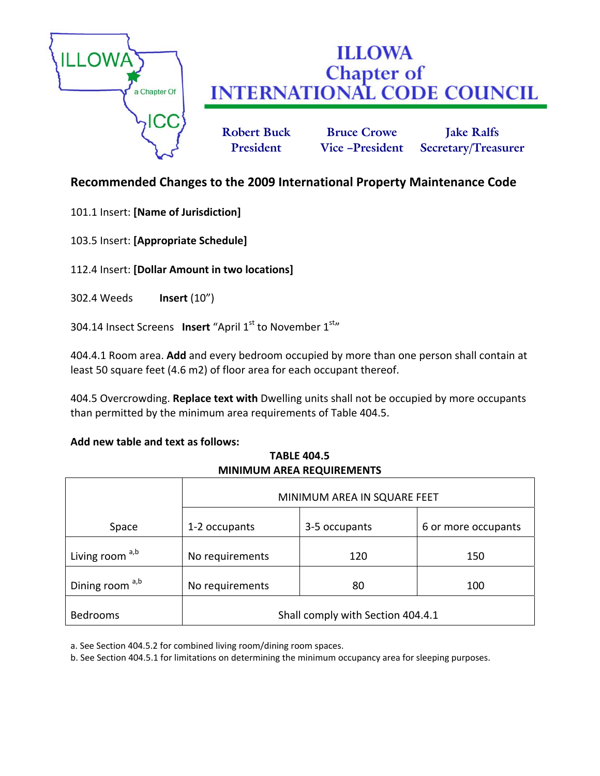

# **ILLOWA Chapter of<br>INTERNATIONAL CODE COUNCIL**

**Robert Buck Bruce Crowe Jake Ralfs President Vice –President Secretary/Treasurer**

# **Recommended Changes to the 2009 International Property Maintenance Code**

101.1 Insert: **[Name of Jurisdiction]**

103.5 Insert: **[Appropriate Schedule]**

112.4 Insert: **[Dollar Amount in two locations]**

302.4 Weeds **Insert** (10")

304.14 Insect Screens Insert "April 1<sup>st</sup> to November 1<sup>st</sup>"

404.4.1 Room area. **Add** and every bedroom occupied by more than one person shall contain at least 50 square feet (4.6 m2) of floor area for each occupant thereof.

404.5 Overcrowding. **Replace text with** Dwelling units shall not be occupied by more occupants than permitted by the minimum area requirements of Table 404.5.

# **Add new table and text as follows:**

**TABLE 404.5 MINIMUM AREA REQUIREMENTS**

|                            | MINIMUM AREA IN SQUARE FEET       |               |                     |
|----------------------------|-----------------------------------|---------------|---------------------|
| Space                      | 1-2 occupants                     | 3-5 occupants | 6 or more occupants |
| Living room a,b            | No requirements                   | 120           | 150                 |
| Dining room <sup>a,b</sup> | No requirements                   | 80            | 100                 |
| <b>Bedrooms</b>            | Shall comply with Section 404.4.1 |               |                     |

a. See Section 404.5.2 for combined living room/dining room spaces.

b. See Section 404.5.1 for limitations on determining the minimum occupancy area for sleeping purposes.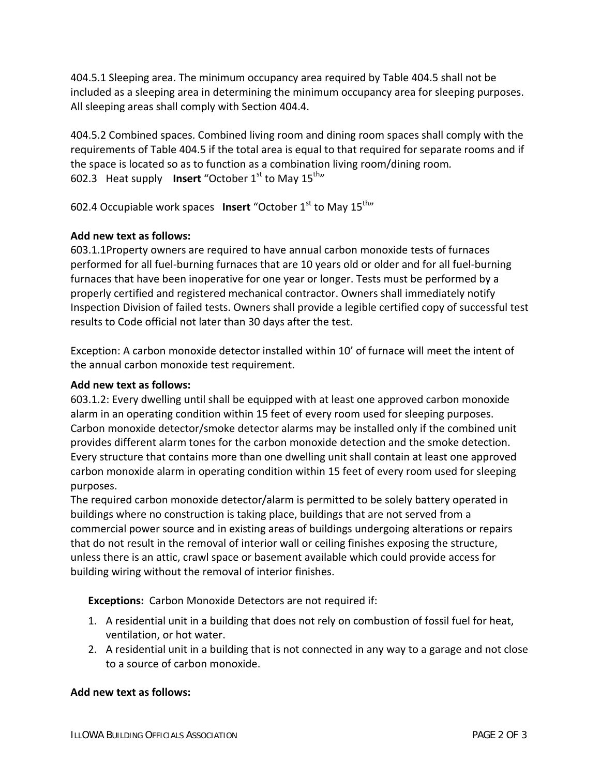404.5.1 Sleeping area. The minimum occupancy area required by Table 404.5 shall not be included as a sleeping area in determining the minimum occupancy area for sleeping purposes. All sleeping areas shall comply with Section 404.4.

404.5.2 Combined spaces. Combined living room and dining room spaces shall comply with the requirements of Table 404.5 if the total area is equal to that required for separate rooms and if the space is located so as to function as a combination living room/dining room*.* 602.3 Heat supply **Insert** "October 1<sup>st</sup> to May 15<sup>th</sup>"

602.4 Occupiable work spaces **Insert** "October 1<sup>st</sup> to May 15<sup>th</sup>"

## **Add new text as follows:**

603.1.1Property owners are required to have annual carbon monoxide tests of furnaces performed for all fuel‐burning furnaces that are 10 years old or older and for all fuel‐burning furnaces that have been inoperative for one year or longer. Tests must be performed by a properly certified and registered mechanical contractor. Owners shall immediately notify Inspection Division of failed tests. Owners shall provide a legible certified copy of successful test results to Code official not later than 30 days after the test.

Exception: A carbon monoxide detector installed within 10' of furnace will meet the intent of the annual carbon monoxide test requirement.

#### **Add new text as follows:**

603.1.2: Every dwelling until shall be equipped with at least one approved carbon monoxide alarm in an operating condition within 15 feet of every room used for sleeping purposes. Carbon monoxide detector/smoke detector alarms may be installed only if the combined unit provides different alarm tones for the carbon monoxide detection and the smoke detection. Every structure that contains more than one dwelling unit shall contain at least one approved carbon monoxide alarm in operating condition within 15 feet of every room used for sleeping purposes.

The required carbon monoxide detector/alarm is permitted to be solely battery operated in buildings where no construction is taking place, buildings that are not served from a commercial power source and in existing areas of buildings undergoing alterations or repairs that do not result in the removal of interior wall or ceiling finishes exposing the structure, unless there is an attic, crawl space or basement available which could provide access for building wiring without the removal of interior finishes.

**Exceptions:** Carbon Monoxide Detectors are not required if:

- 1. A residential unit in a building that does not rely on combustion of fossil fuel for heat, ventilation, or hot water.
- 2. A residential unit in a building that is not connected in any way to a garage and not close to a source of carbon monoxide.

# **Add new text as follows:**